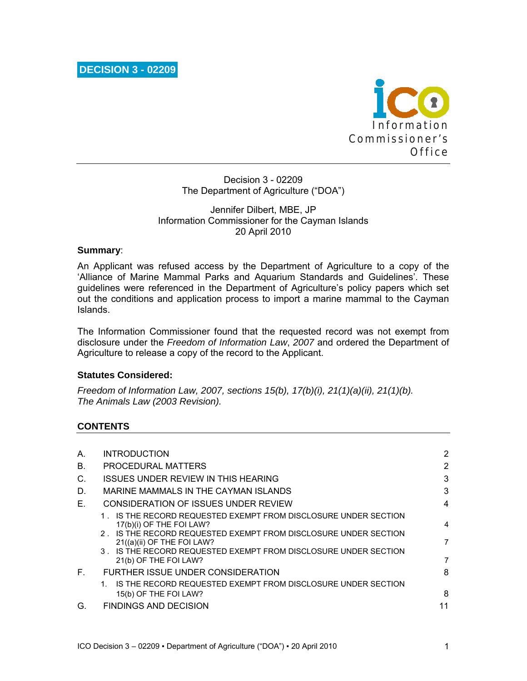

Decision 3 - 02209 The Department of Agriculture ("DOA")

### Jennifer Dilbert, MBE, JP Information Commissioner for the Cayman Islands 20 April 2010

### **Summary**:

An Applicant was refused access by the Department of Agriculture to a copy of the 'Alliance of Marine Mammal Parks and Aquarium Standards and Guidelines'. These guidelines were referenced in the Department of Agriculture's policy papers which set out the conditions and application process to import a marine mammal to the Cayman Islands.

The Information Commissioner found that the requested record was not exempt from disclosure under the *Freedom of Information Law*, *2007* and ordered the Department of Agriculture to release a copy of the record to the Applicant.

#### **Statutes Considered:**

*Freedom of Information Law, 2007, sections 15(b), 17(b)(i), 21(1)(a)(ii), 21(1)(b). The Animals Law (2003 Revision).* 

## **CONTENTS**

| А. | <b>INTRODUCTION</b>                                                                                                                                                                                                                                                                      | $\mathbf{2}^{\prime}$ |
|----|------------------------------------------------------------------------------------------------------------------------------------------------------------------------------------------------------------------------------------------------------------------------------------------|-----------------------|
| В. | PROCEDURAL MATTERS                                                                                                                                                                                                                                                                       | 2                     |
| C. | <b>ISSUES UNDER REVIEW IN THIS HEARING</b>                                                                                                                                                                                                                                               | 3                     |
| D. | MARINE MAMMALS IN THE CAYMAN ISLANDS                                                                                                                                                                                                                                                     | 3                     |
| Е. | CONSIDERATION OF ISSUES UNDER REVIEW                                                                                                                                                                                                                                                     | 4                     |
|    | 1. IS THE RECORD REQUESTED EXEMPT FROM DISCLOSURE UNDER SECTION<br>17(b)(i) OF THE FOI LAW?<br>2. IS THE RECORD REQUESTED EXEMPT FROM DISCLOSURE UNDER SECTION<br>21((a)(ii) OF THE FOI LAW?<br>3. IS THE RECORD REQUESTED EXEMPT FROM DISCLOSURE UNDER SECTION<br>21(b) OF THE FOI LAW? | 4<br>7<br>7           |
| E. | FURTHER ISSUE UNDER CONSIDERATION                                                                                                                                                                                                                                                        | 8                     |
|    | IS THE RECORD REQUESTED EXEMPT FROM DISCLOSURE UNDER SECTION<br>15(b) OF THE FOI LAW?                                                                                                                                                                                                    | 8                     |
| G. | <b>FINDINGS AND DECISION</b>                                                                                                                                                                                                                                                             | 11                    |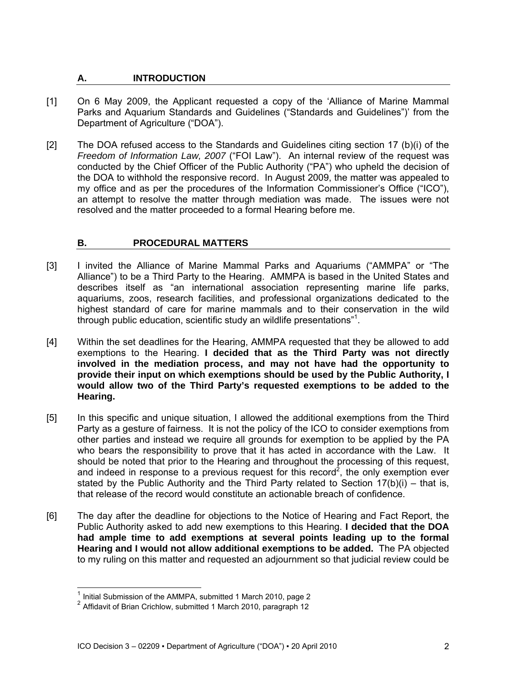# **A. INTRODUCTION**

- [1] On 6 May 2009, the Applicant requested a copy of the 'Alliance of Marine Mammal Parks and Aquarium Standards and Guidelines ("Standards and Guidelines")' from the Department of Agriculture ("DOA").
- [2] The DOA refused access to the Standards and Guidelines citing section 17 (b)(i) of the *Freedom of Information Law, 2007* ("FOI Law"). An internal review of the request was conducted by the Chief Officer of the Public Authority ("PA") who upheld the decision of the DOA to withhold the responsive record. In August 2009, the matter was appealed to my office and as per the procedures of the Information Commissioner's Office ("ICO"), an attempt to resolve the matter through mediation was made. The issues were not resolved and the matter proceeded to a formal Hearing before me.

# **B. PROCEDURAL MATTERS**

- [3] I invited the Alliance of Marine Mammal Parks and Aquariums ("AMMPA" or "The Alliance") to be a Third Party to the Hearing. AMMPA is based in the United States and describes itself as "an international association representing marine life parks, aquariums, zoos, research facilities, and professional organizations dedicated to the highest standard of care for marine mammals and to their conservation in the wild through public education, scientific study an wildlife presentations"<sup>1</sup>.
- [4] Within the set deadlines for the Hearing, AMMPA requested that they be allowed to add exemptions to the Hearing. **I decided that as the Third Party was not directly involved in the mediation process, and may not have had the opportunity to provide their input on which exemptions should be used by the Public Authority, I would allow two of the Third Party's requested exemptions to be added to the Hearing.**
- [5] In this specific and unique situation, I allowed the additional exemptions from the Third Party as a gesture of fairness. It is not the policy of the ICO to consider exemptions from other parties and instead we require all grounds for exemption to be applied by the PA who bears the responsibility to prove that it has acted in accordance with the Law. It should be noted that prior to the Hearing and throughout the processing of this request, and indeed in response to a previous request for this record<sup>2</sup>, the only exemption ever stated by the Public Authority and the Third Party related to Section  $17(b)(i)$  – that is, that release of the record would constitute an actionable breach of confidence.
- [6] The day after the deadline for objections to the Notice of Hearing and Fact Report, the Public Authority asked to add new exemptions to this Hearing. **I decided that the DOA had ample time to add exemptions at several points leading up to the formal Hearing and I would not allow additional exemptions to be added.** The PA objected to my ruling on this matter and requested an adjournment so that judicial review could be

l

<sup>&</sup>lt;sup>1</sup> Initial Submission of the AMMPA, submitted 1 March 2010, page 2<br><sup>2</sup> Affidavit of Brian Crichlow, submitted 1 March 2010, paragraph 12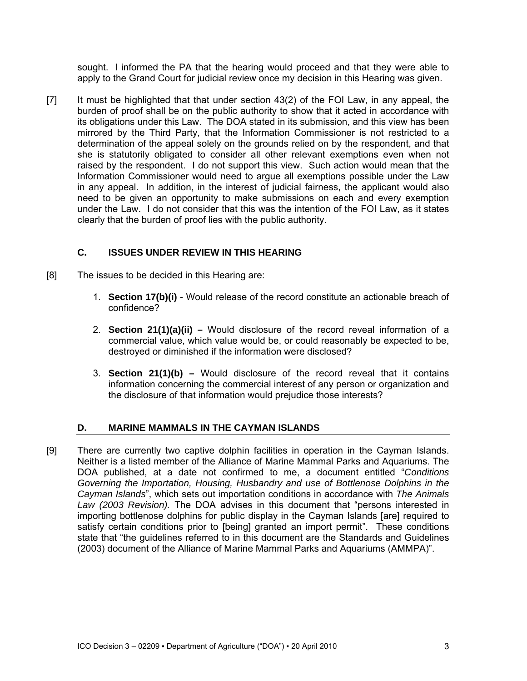sought. I informed the PA that the hearing would proceed and that they were able to apply to the Grand Court for judicial review once my decision in this Hearing was given.

[7] It must be highlighted that that under section 43(2) of the FOI Law, in any appeal, the burden of proof shall be on the public authority to show that it acted in accordance with its obligations under this Law. The DOA stated in its submission, and this view has been mirrored by the Third Party, that the Information Commissioner is not restricted to a determination of the appeal solely on the grounds relied on by the respondent, and that she is statutorily obligated to consider all other relevant exemptions even when not raised by the respondent. I do not support this view. Such action would mean that the Information Commissioner would need to argue all exemptions possible under the Law in any appeal. In addition, in the interest of judicial fairness, the applicant would also need to be given an opportunity to make submissions on each and every exemption under the Law. I do not consider that this was the intention of the FOI Law, as it states clearly that the burden of proof lies with the public authority.

# **C. ISSUES UNDER REVIEW IN THIS HEARING**

- [8] The issues to be decided in this Hearing are:
	- 1. **Section 17(b)(i)** Would release of the record constitute an actionable breach of confidence?
	- 2. **Section 21(1)(a)(ii)** Would disclosure of the record reveal information of a commercial value, which value would be, or could reasonably be expected to be, destroyed or diminished if the information were disclosed?
	- 3. **Section 21(1)(b)** Would disclosure of the record reveal that it contains information concerning the commercial interest of any person or organization and the disclosure of that information would prejudice those interests?

## **D. MARINE MAMMALS IN THE CAYMAN ISLANDS**

[9] There are currently two captive dolphin facilities in operation in the Cayman Islands. Neither is a listed member of the Alliance of Marine Mammal Parks and Aquariums. The DOA published, at a date not confirmed to me, a document entitled "*Conditions Governing the Importation, Housing, Husbandry and use of Bottlenose Dolphins in the Cayman Islands*", which sets out importation conditions in accordance with *The Animals Law (2003 Revision).* The DOA advises in this document that "persons interested in importing bottlenose dolphins for public display in the Cayman Islands [are] required to satisfy certain conditions prior to [being] granted an import permit". These conditions state that "the guidelines referred to in this document are the Standards and Guidelines (2003) document of the Alliance of Marine Mammal Parks and Aquariums (AMMPA)".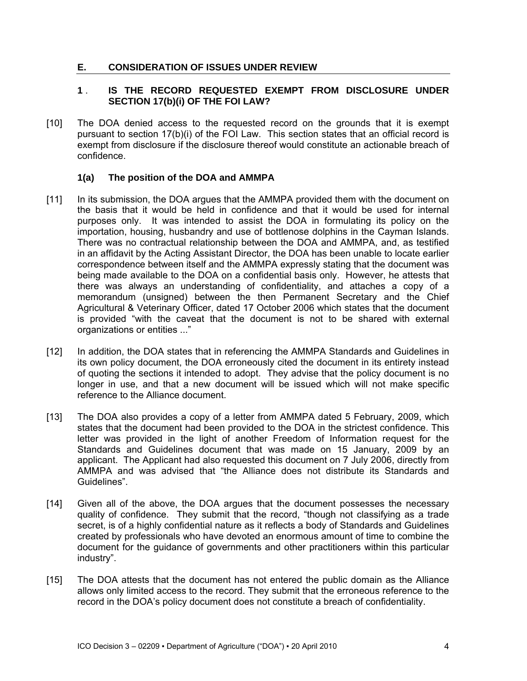## **E. CONSIDERATION OF ISSUES UNDER REVIEW**

## **1** . **IS THE RECORD REQUESTED EXEMPT FROM DISCLOSURE UNDER SECTION 17(b)(i) OF THE FOI LAW?**

[10] The DOA denied access to the requested record on the grounds that it is exempt pursuant to section 17(b)(i) of the FOI Law. This section states that an official record is exempt from disclosure if the disclosure thereof would constitute an actionable breach of confidence.

### **1(a) The position of the DOA and AMMPA**

- [11] In its submission, the DOA argues that the AMMPA provided them with the document on the basis that it would be held in confidence and that it would be used for internal purposes only. It was intended to assist the DOA in formulating its policy on the importation, housing, husbandry and use of bottlenose dolphins in the Cayman Islands. There was no contractual relationship between the DOA and AMMPA, and, as testified in an affidavit by the Acting Assistant Director, the DOA has been unable to locate earlier correspondence between itself and the AMMPA expressly stating that the document was being made available to the DOA on a confidential basis only. However, he attests that there was always an understanding of confidentiality, and attaches a copy of a memorandum (unsigned) between the then Permanent Secretary and the Chief Agricultural & Veterinary Officer, dated 17 October 2006 which states that the document is provided "with the caveat that the document is not to be shared with external organizations or entities ..."
- [12] In addition, the DOA states that in referencing the AMMPA Standards and Guidelines in its own policy document, the DOA erroneously cited the document in its entirety instead of quoting the sections it intended to adopt. They advise that the policy document is no longer in use, and that a new document will be issued which will not make specific reference to the Alliance document.
- [13] The DOA also provides a copy of a letter from AMMPA dated 5 February, 2009, which states that the document had been provided to the DOA in the strictest confidence. This letter was provided in the light of another Freedom of Information request for the Standards and Guidelines document that was made on 15 January, 2009 by an applicant. The Applicant had also requested this document on 7 July 2006, directly from AMMPA and was advised that "the Alliance does not distribute its Standards and Guidelines".
- [14] Given all of the above, the DOA argues that the document possesses the necessary quality of confidence. They submit that the record, "though not classifying as a trade secret, is of a highly confidential nature as it reflects a body of Standards and Guidelines created by professionals who have devoted an enormous amount of time to combine the document for the guidance of governments and other practitioners within this particular industry".
- [15] The DOA attests that the document has not entered the public domain as the Alliance allows only limited access to the record. They submit that the erroneous reference to the record in the DOA's policy document does not constitute a breach of confidentiality.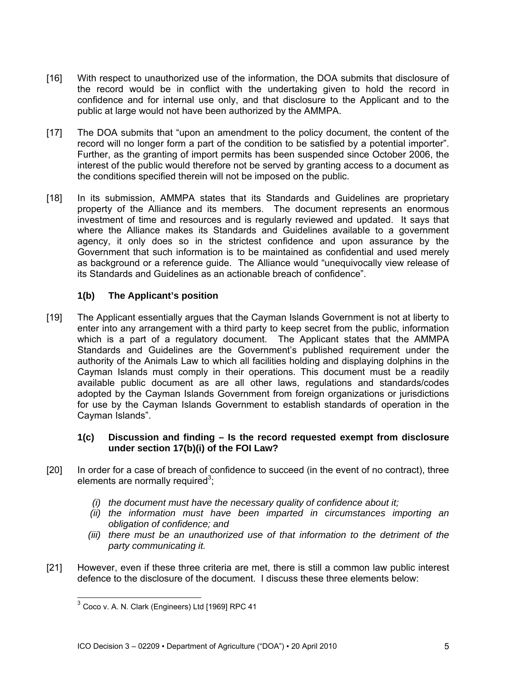- [16] With respect to unauthorized use of the information, the DOA submits that disclosure of the record would be in conflict with the undertaking given to hold the record in confidence and for internal use only, and that disclosure to the Applicant and to the public at large would not have been authorized by the AMMPA.
- [17] The DOA submits that "upon an amendment to the policy document, the content of the record will no longer form a part of the condition to be satisfied by a potential importer". Further, as the granting of import permits has been suspended since October 2006, the interest of the public would therefore not be served by granting access to a document as the conditions specified therein will not be imposed on the public.
- [18] In its submission, AMMPA states that its Standards and Guidelines are proprietary property of the Alliance and its members. The document represents an enormous investment of time and resources and is regularly reviewed and updated. It says that where the Alliance makes its Standards and Guidelines available to a government agency, it only does so in the strictest confidence and upon assurance by the Government that such information is to be maintained as confidential and used merely as background or a reference guide. The Alliance would "unequivocally view release of its Standards and Guidelines as an actionable breach of confidence".

# **1(b) The Applicant's position**

[19] The Applicant essentially argues that the Cayman Islands Government is not at liberty to enter into any arrangement with a third party to keep secret from the public, information which is a part of a regulatory document. The Applicant states that the AMMPA Standards and Guidelines are the Government's published requirement under the authority of the Animals Law to which all facilities holding and displaying dolphins in the Cayman Islands must comply in their operations. This document must be a readily available public document as are all other laws, regulations and standards/codes adopted by the Cayman Islands Government from foreign organizations or jurisdictions for use by the Cayman Islands Government to establish standards of operation in the Cayman Islands".

### **1(c) Discussion and finding – Is the record requested exempt from disclosure under section 17(b)(i) of the FOI Law?**

- [20] In order for a case of breach of confidence to succeed (in the event of no contract), three elements are normally required<sup>3</sup>;
	- *(i) the document must have the necessary quality of confidence about it;*
	- *(ii) the information must have been imparted in circumstances importing an obligation of confidence; and*
	- *(iii) there must be an unauthorized use of that information to the detriment of the party communicating it.*
- [21] However, even if these three criteria are met, there is still a common law public interest defence to the disclosure of the document. I discuss these three elements below:

l

 $^3$  Coco v. A. N. Clark (Engineers) Ltd [1969] RPC 41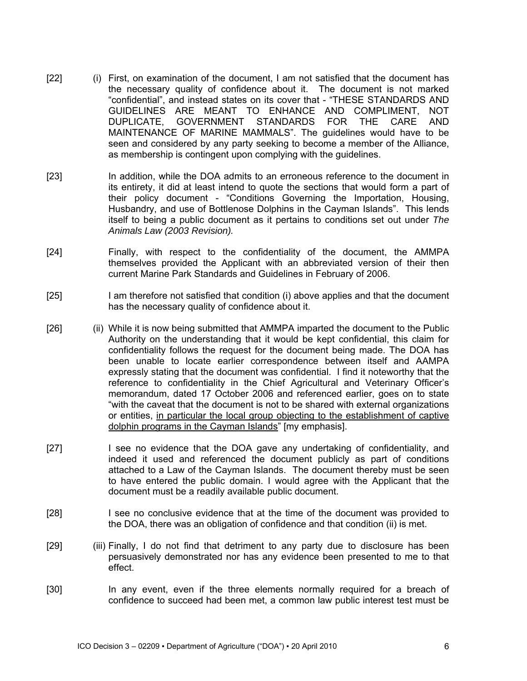- [22] (i) First, on examination of the document, I am not satisfied that the document has the necessary quality of confidence about it. The document is not marked "confidential", and instead states on its cover that - "THESE STANDARDS AND GUIDELINES ARE MEANT TO ENHANCE AND COMPLIMENT, NOT DUPLICATE, GOVERNMENT STANDARDS FOR THE CARE AND MAINTENANCE OF MARINE MAMMALS". The guidelines would have to be seen and considered by any party seeking to become a member of the Alliance, as membership is contingent upon complying with the guidelines.
- [23] In addition, while the DOA admits to an erroneous reference to the document in its entirety, it did at least intend to quote the sections that would form a part of their policy document - "Conditions Governing the Importation, Housing, Husbandry, and use of Bottlenose Dolphins in the Cayman Islands". This lends itself to being a public document as it pertains to conditions set out under *The Animals Law (2003 Revision).*
- [24] Finally, with respect to the confidentiality of the document, the AMMPA themselves provided the Applicant with an abbreviated version of their then current Marine Park Standards and Guidelines in February of 2006.
- [25] I am therefore not satisfied that condition (i) above applies and that the document has the necessary quality of confidence about it.
- [26] (ii) While it is now being submitted that AMMPA imparted the document to the Public Authority on the understanding that it would be kept confidential, this claim for confidentiality follows the request for the document being made. The DOA has been unable to locate earlier correspondence between itself and AAMPA expressly stating that the document was confidential. I find it noteworthy that the reference to confidentiality in the Chief Agricultural and Veterinary Officer's memorandum, dated 17 October 2006 and referenced earlier, goes on to state "with the caveat that the document is not to be shared with external organizations or entities, in particular the local group objecting to the establishment of captive dolphin programs in the Cayman Islands" [my emphasis].
- [27] I see no evidence that the DOA gave any undertaking of confidentiality, and indeed it used and referenced the document publicly as part of conditions attached to a Law of the Cayman Islands. The document thereby must be seen to have entered the public domain. I would agree with the Applicant that the document must be a readily available public document.
- [28] I see no conclusive evidence that at the time of the document was provided to the DOA, there was an obligation of confidence and that condition (ii) is met.
- [29] (iii) Finally, I do not find that detriment to any party due to disclosure has been persuasively demonstrated nor has any evidence been presented to me to that effect.
- [30] In any event, even if the three elements normally required for a breach of confidence to succeed had been met, a common law public interest test must be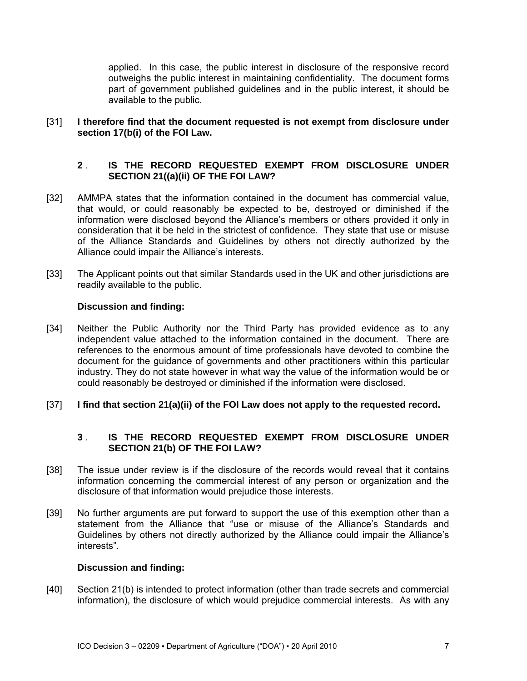applied. In this case, the public interest in disclosure of the responsive record outweighs the public interest in maintaining confidentiality. The document forms part of government published guidelines and in the public interest, it should be available to the public.

### [31] **I therefore find that the document requested is not exempt from disclosure under section 17(b(i) of the FOI Law.**

### **2** . **IS THE RECORD REQUESTED EXEMPT FROM DISCLOSURE UNDER SECTION 21((a)(ii) OF THE FOI LAW?**

- [32] AMMPA states that the information contained in the document has commercial value, that would, or could reasonably be expected to be, destroyed or diminished if the information were disclosed beyond the Alliance's members or others provided it only in consideration that it be held in the strictest of confidence. They state that use or misuse of the Alliance Standards and Guidelines by others not directly authorized by the Alliance could impair the Alliance's interests.
- [33] The Applicant points out that similar Standards used in the UK and other jurisdictions are readily available to the public.

## **Discussion and finding:**

- [34] Neither the Public Authority nor the Third Party has provided evidence as to any independent value attached to the information contained in the document. There are references to the enormous amount of time professionals have devoted to combine the document for the guidance of governments and other practitioners within this particular industry. They do not state however in what way the value of the information would be or could reasonably be destroyed or diminished if the information were disclosed.
- [37] **I find that section 21(a)(ii) of the FOI Law does not apply to the requested record.**

## **3** . **IS THE RECORD REQUESTED EXEMPT FROM DISCLOSURE UNDER SECTION 21(b) OF THE FOI LAW?**

- [38] The issue under review is if the disclosure of the records would reveal that it contains information concerning the commercial interest of any person or organization and the disclosure of that information would prejudice those interests.
- [39] No further arguments are put forward to support the use of this exemption other than a statement from the Alliance that "use or misuse of the Alliance's Standards and Guidelines by others not directly authorized by the Alliance could impair the Alliance's interests".

#### **Discussion and finding:**

[40] Section 21(b) is intended to protect information (other than trade secrets and commercial information), the disclosure of which would prejudice commercial interests. As with any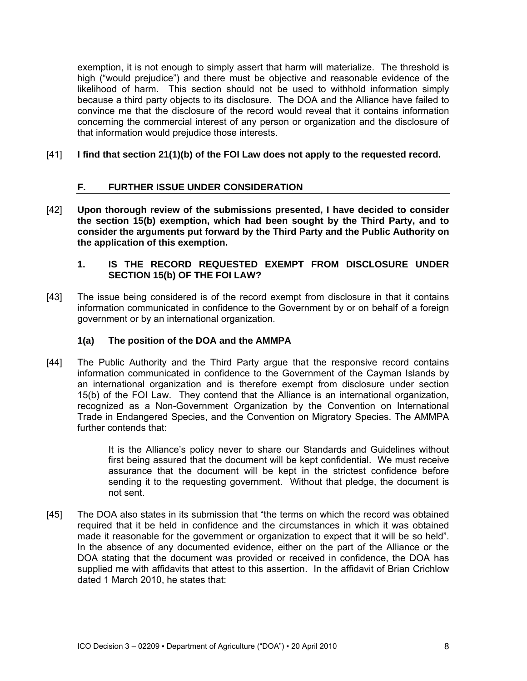exemption, it is not enough to simply assert that harm will materialize. The threshold is high ("would prejudice") and there must be objective and reasonable evidence of the likelihood of harm. This section should not be used to withhold information simply because a third party objects to its disclosure. The DOA and the Alliance have failed to convince me that the disclosure of the record would reveal that it contains information concerning the commercial interest of any person or organization and the disclosure of that information would prejudice those interests.

## [41] **I find that section 21(1)(b) of the FOI Law does not apply to the requested record.**

# **F. FURTHER ISSUE UNDER CONSIDERATION**

[42] **Upon thorough review of the submissions presented, I have decided to consider the section 15(b) exemption, which had been sought by the Third Party, and to consider the arguments put forward by the Third Party and the Public Authority on the application of this exemption.** 

### **1. IS THE RECORD REQUESTED EXEMPT FROM DISCLOSURE UNDER SECTION 15(b) OF THE FOI LAW?**

[43] The issue being considered is of the record exempt from disclosure in that it contains information communicated in confidence to the Government by or on behalf of a foreign government or by an international organization.

## **1(a) The position of the DOA and the AMMPA**

[44] The Public Authority and the Third Party argue that the responsive record contains information communicated in confidence to the Government of the Cayman Islands by an international organization and is therefore exempt from disclosure under section 15(b) of the FOI Law. They contend that the Alliance is an international organization, recognized as a Non-Government Organization by the Convention on International Trade in Endangered Species, and the Convention on Migratory Species. The AMMPA further contends that:

> It is the Alliance's policy never to share our Standards and Guidelines without first being assured that the document will be kept confidential. We must receive assurance that the document will be kept in the strictest confidence before sending it to the requesting government. Without that pledge, the document is not sent.

[45] The DOA also states in its submission that "the terms on which the record was obtained required that it be held in confidence and the circumstances in which it was obtained made it reasonable for the government or organization to expect that it will be so held". In the absence of any documented evidence, either on the part of the Alliance or the DOA stating that the document was provided or received in confidence, the DOA has supplied me with affidavits that attest to this assertion. In the affidavit of Brian Crichlow dated 1 March 2010, he states that: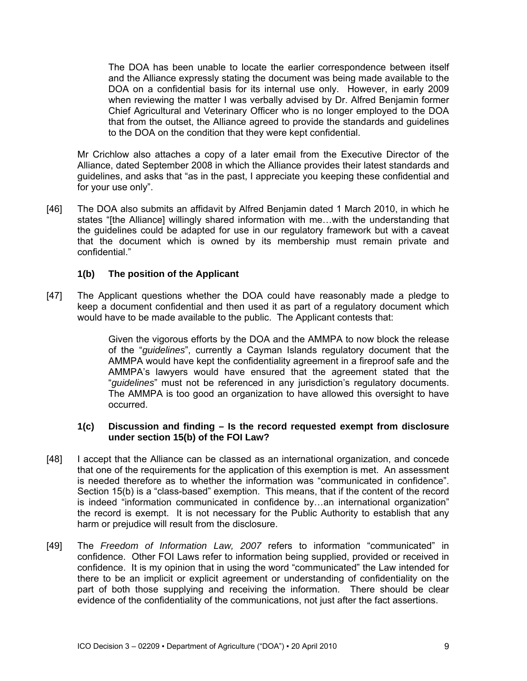The DOA has been unable to locate the earlier correspondence between itself and the Alliance expressly stating the document was being made available to the DOA on a confidential basis for its internal use only. However, in early 2009 when reviewing the matter I was verbally advised by Dr. Alfred Benjamin former Chief Agricultural and Veterinary Officer who is no longer employed to the DOA that from the outset, the Alliance agreed to provide the standards and guidelines to the DOA on the condition that they were kept confidential.

Mr Crichlow also attaches a copy of a later email from the Executive Director of the Alliance, dated September 2008 in which the Alliance provides their latest standards and guidelines, and asks that "as in the past, I appreciate you keeping these confidential and for your use only".

[46] The DOA also submits an affidavit by Alfred Benjamin dated 1 March 2010, in which he states "[the Alliance] willingly shared information with me…with the understanding that the guidelines could be adapted for use in our regulatory framework but with a caveat that the document which is owned by its membership must remain private and confidential."

### **1(b) The position of the Applicant**

[47] The Applicant questions whether the DOA could have reasonably made a pledge to keep a document confidential and then used it as part of a regulatory document which would have to be made available to the public. The Applicant contests that:

> Given the vigorous efforts by the DOA and the AMMPA to now block the release of the "*guidelines*", currently a Cayman Islands regulatory document that the AMMPA would have kept the confidentiality agreement in a fireproof safe and the AMMPA's lawyers would have ensured that the agreement stated that the "*guidelines*" must not be referenced in any jurisdiction's regulatory documents. The AMMPA is too good an organization to have allowed this oversight to have occurred.

#### **1(c) Discussion and finding – Is the record requested exempt from disclosure under section 15(b) of the FOI Law?**

- [48] I accept that the Alliance can be classed as an international organization, and concede that one of the requirements for the application of this exemption is met. An assessment is needed therefore as to whether the information was "communicated in confidence". Section 15(b) is a "class-based" exemption. This means, that if the content of the record is indeed "information communicated in confidence by...an international organization" the record is exempt. It is not necessary for the Public Authority to establish that any harm or prejudice will result from the disclosure.
- [49] The *Freedom of Information Law, 2007* refers to information "communicated" in confidence. Other FOI Laws refer to information being supplied, provided or received in confidence. It is my opinion that in using the word "communicated" the Law intended for there to be an implicit or explicit agreement or understanding of confidentiality on the part of both those supplying and receiving the information. There should be clear evidence of the confidentiality of the communications, not just after the fact assertions.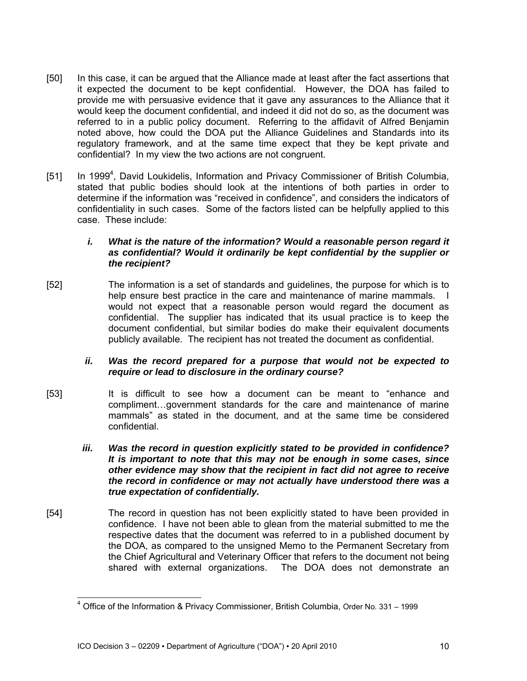- [50] In this case, it can be argued that the Alliance made at least after the fact assertions that it expected the document to be kept confidential. However, the DOA has failed to provide me with persuasive evidence that it gave any assurances to the Alliance that it would keep the document confidential, and indeed it did not do so, as the document was referred to in a public policy document. Referring to the affidavit of Alfred Benjamin noted above, how could the DOA put the Alliance Guidelines and Standards into its regulatory framework, and at the same time expect that they be kept private and confidential? In my view the two actions are not congruent.
- [51] In 1999<sup>4</sup>, David Loukidelis, Information and Privacy Commissioner of British Columbia, stated that public bodies should look at the intentions of both parties in order to determine if the information was "received in confidence", and considers the indicators of confidentiality in such cases. Some of the factors listed can be helpfully applied to this case. These include:

### *i. What is the nature of the information? Would a reasonable person regard it as confidential? Would it ordinarily be kept confidential by the supplier or the recipient?*

[52] The information is a set of standards and guidelines, the purpose for which is to help ensure best practice in the care and maintenance of marine mammals. I would not expect that a reasonable person would regard the document as confidential. The supplier has indicated that its usual practice is to keep the document confidential, but similar bodies do make their equivalent documents publicly available. The recipient has not treated the document as confidential.

## *ii. Was the record prepared for a purpose that would not be expected to require or lead to disclosure in the ordinary course?*

- [53] It is difficult to see how a document can be meant to "enhance and compliment…government standards for the care and maintenance of marine mammals" as stated in the document, and at the same time be considered confidential.
	- *iii. Was the record in question explicitly stated to be provided in confidence? It is important to note that this may not be enough in some cases, since other evidence may show that the recipient in fact did not agree to receive the record in confidence or may not actually have understood there was a true expectation of confidentially.*
- [54] The record in question has not been explicitly stated to have been provided in confidence. I have not been able to glean from the material submitted to me the respective dates that the document was referred to in a published document by the DOA, as compared to the unsigned Memo to the Permanent Secretary from the Chief Agricultural and Veterinary Officer that refers to the document not being shared with external organizations. The DOA does not demonstrate an

 4 Office of the Information & Privacy Commissioner, British Columbia, Order No. 331 – 1999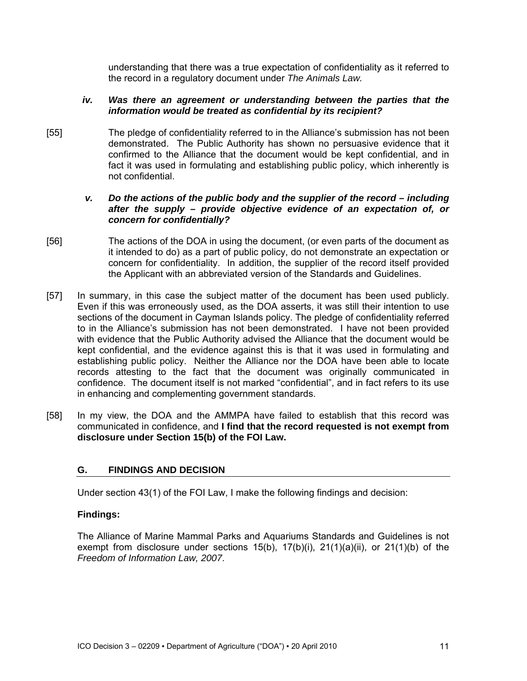understanding that there was a true expectation of confidentiality as it referred to the record in a regulatory document under *The Animals Law.*

### *iv.* Was there an agreement or understanding between the parties that the *information would be treated as confidential by its recipient?*

[55] The pledge of confidentiality referred to in the Alliance's submission has not been demonstrated. The Public Authority has shown no persuasive evidence that it confirmed to the Alliance that the document would be kept confidential, and in fact it was used in formulating and establishing public policy, which inherently is not confidential.

### *v. Do the actions of the public body and the supplier of the record – including after the supply – provide objective evidence of an expectation of, or concern for confidentially?*

- [56] The actions of the DOA in using the document, (or even parts of the document as it intended to do) as a part of public policy, do not demonstrate an expectation or concern for confidentiality. In addition, the supplier of the record itself provided the Applicant with an abbreviated version of the Standards and Guidelines.
- [57] In summary, in this case the subject matter of the document has been used publicly. Even if this was erroneously used, as the DOA asserts, it was still their intention to use sections of the document in Cayman Islands policy. The pledge of confidentiality referred to in the Alliance's submission has not been demonstrated. I have not been provided with evidence that the Public Authority advised the Alliance that the document would be kept confidential, and the evidence against this is that it was used in formulating and establishing public policy. Neither the Alliance nor the DOA have been able to locate records attesting to the fact that the document was originally communicated in confidence. The document itself is not marked "confidential", and in fact refers to its use in enhancing and complementing government standards.
- [58] In my view, the DOA and the AMMPA have failed to establish that this record was communicated in confidence, and **I find that the record requested is not exempt from disclosure under Section 15(b) of the FOI Law.**

## **G. FINDINGS AND DECISION**

Under section 43(1) of the FOI Law, I make the following findings and decision:

## **Findings:**

The Alliance of Marine Mammal Parks and Aquariums Standards and Guidelines is not exempt from disclosure under sections  $15(b)$ ,  $17(b)(i)$ ,  $21(1)(a)(ii)$ , or  $21(1)(b)$  of the *Freedom of Information Law, 2007*.